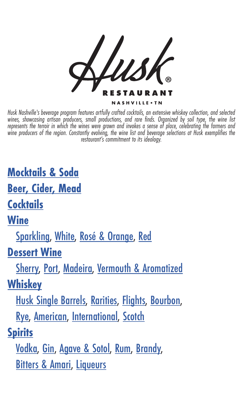

*Husk Nashville's beverage program features artfully crafted cocktails, an extensive whiskey collection, and selected wines, showcasing artisan producers, small productions, and rare finds. Organized by soil type, the wine list represents the terroir in which the wines were grown and invokes a sense of place, celebrating the farmers and wine producers of the region. Constantly evolving, the wine list and beverage selections at Husk exemplifies the restaurant's commitment to its ideology.*

**[Mocktails & Soda](#page-3-0)**

**[Beer, Cider, Mead](#page-1-0)**

**[Cocktails](#page-2-0)**

**[Wine](#page-4-0)**

[Sparkling](#page-5-0), [White,](#page-6-0) Rosé & Orange, [Red](#page-9-0)

**[Dessert Wine](#page-12-0)**

[Sherry,](#page-13-0) [Port, Madeira](#page-13-0), [Vermouth & Aromatized](#page-12-1)

**[Whiskey](#page-14-0)**

[Husk Single Barrels,](#page-14-1) [Rarities,](#page-14-2) [Flights](#page-14-3), [Bourbon,](#page-15-0) [Rye](#page-16-0), [American](#page-17-0), [International,](#page-17-1) [Scotch](#page-17-2)

### **[Spirits](#page-18-0)**

[Vodka](#page-18-1), [Gin,](#page-18-2) [Agave & Sotol](#page-18-3), [Rum](#page-19-0), [Brandy,](#page-19-1) [Bitters & Amari](#page-20-0), [Liqueurs](#page-19-2)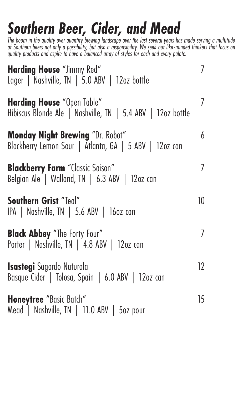# <span id="page-1-0"></span>*Southern Beer, Cider, and Mead*

*The boom in the quality over quantity brewing landscape over the last several years has made serving a multitude of Southern beers not only a possibility, but also a responsibility. We seek out like-minded thinkers that focus on quality products and aspire to have a balanced array of styles for each and every palate.* 

| <b>Harding House</b> "Jimmy Red"<br>Lager   Nashville, TN   5.0 ABV   12oz bottle                 | 7  |
|---------------------------------------------------------------------------------------------------|----|
| <b>Harding House</b> "Open Table"<br>Hibiscus Blonde Ale   Nashville, TN   5.4 ABV   12oz bottle  | 7  |
| <b>Monday Night Brewing</b> "Dr. Robot"<br>Blackberry Lemon Sour   Atlanta, GA   5 ABV   12oz can | 6  |
| <b>Blackberry Farm</b> "Classic Saison"<br>Belgian Ale   Walland, TN   6.3 ABV   12oz can         | 7  |
| Southern Grist "Teal"<br>IPA   Nashville, TN   5.6 ABV   16oz can                                 | 10 |
| <b>Black Abbey</b> "The Forty Four"<br>Porter   Nashville, TN   4.8 ABV   12oz can                | 7  |
| <b>Isastegi</b> Sagardo Naturala<br>Basque Cider   Tolosa, Spain   6.0 ABV   12oz can             | 12 |
| Honeytree "Basic Batch"<br>Mead   Nashville, TN   11.0 ABV   5oz pour                             | 15 |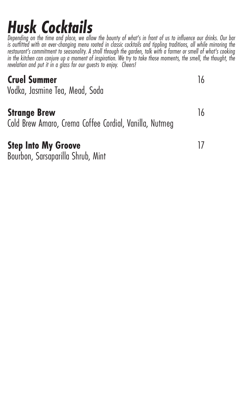# <span id="page-2-0"></span>*Husk Cocktails*

*Depending on the time and place, we allow the bounty of what's in front of us to influence our drinks. Our bar*  is outfitted with an ever-changing menu rooted in classic cocktails and tippling traditions, all while mirroring the *restaurant's commitment to seasonality. A stroll through the garden, talk with a farmer or smell of what's cooking in the kitchen can conjure up a moment of inspiration. We try to take those moments, the smell, the thought, the revelation and put it in a glass for our guests to enjoy. Cheers!*

#### **Cruel Summer** 16

Vodka, Jasmine Tea, Mead, Soda

#### **Strange Brew 16 and 16 and 16 and 16 and 16 and 16 and 16 and 16 and 16 and 16 and 16 and 16 and 16 and 16 and 16 and 16 and 16 and 16 and 16 and 16 and 16 and 16 and 16 and 16 and 16 and 16 and 16 and 16 and 16 and 16 an**

Cold Brew Amaro, Crema Coffee Cordial, Vanilla, Nutmeg

#### **Step Into My Groove** 17

Bourbon, Sarsaparilla Shrub, Mint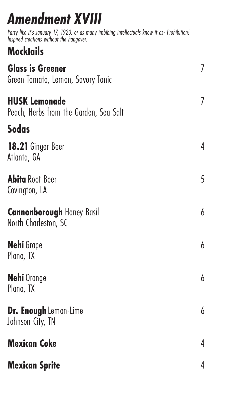# <span id="page-3-0"></span>*Amendment XVIII*

*Party like it's January 17, 1920, or as many imbibing intellectuals know it as- Prohibition! Inspired creations without the hangover.*

# **Mocktails**

| <b>Glass is Greener</b><br>Green Tomato, Lemon, Savory Tonic   | 7 |
|----------------------------------------------------------------|---|
| <b>HUSK Lemonade</b><br>Peach, Herbs from the Garden, Sea Salt | 7 |
| <b>Sodas</b>                                                   |   |
| 18.21 Ginger Beer<br>Atlanta, GA                               | 4 |
| <b>Abita</b> Root Beer<br>Covington, LA                        | 5 |
| <b>Cannonborough Honey Basil</b><br>North Charleston, SC       | 6 |
| <b>Nehi</b> Grape<br>Plano, TX                                 | 6 |
| <b>Nehi</b> Orange<br>Plano, TX                                | 6 |
| Dr. Enough Lemon-Lime<br>Johnson City, TN                      | 6 |
| <b>Mexican Coke</b>                                            | 4 |
| <b>Mexican Sprite</b>                                          | 4 |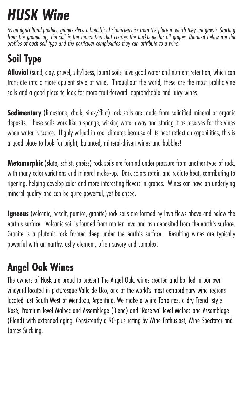# <span id="page-4-0"></span>*HUSK Wine*

*As an agricultural product, grapes show a breadth of characteristics from the place in which they are grown. Starting from the ground up, the soil is the foundation that creates the backbone for all grapes. Detailed below are the profiles of each soil type and the particular complexities they can attribute to a wine*.

# **Soil Type**

**Alluvial** (sand, clay, gravel, silt/loess, loam) soils have good water and nutrient retention, which can translate into a more opulent style of wine. Throughout the world, these are the most prolific vine soils and a good place to look for more fruit-forward, approachable and juicy wines.

**Sedimentary** (limestone, chalk, silex/flint) rock soils are made from solidified mineral or organic deposits. These soils work like a sponge, wicking water away and storing it as reserves for the vines when water is scarce. Highly valued in cool climates because of its heat reflection capabilities, this is a good place to look for bright, balanced, mineral-driven wines and bubbles!

**Metamorphic** (slate, schist, gneiss) rock soils are formed under pressure from another type of rock, with many color variations and mineral make-up. Dark colors retain and radiate heat, contributing to ripening, helping develop color and more interesting flavors in grapes. Wines can have an underlying mineral quality and can be quite powerful, yet balanced.

**Igneous** (volcanic, basalt, pumice, granite) rock soils are formed by lava flows above and below the earth's surface. Volcanic soil is formed from molten lava and ash deposited from the earth's surface. Granite is a plutonic rock formed deep under the earth's surface. Resulting wines are typically powerful with an earthy, ashy element, often savory and complex.

# **Angel Oak Wines**

The owners of Husk are proud to present The Angel Oak, wines created and bottled in our own vineyard located in picturesque Valle de Uco, one of the world's most extraordinary wine regions located just South West of Mendoza, Argentina. We make a white Torrontes, a dry French style Rosé, Premium level Malbec and Assemblage (Blend) and 'Reserva' level Malbec and Assemblage (Blend) with extended aging. Consistently a 90-plus rating by Wine Enthusiast, Wine Spectator and James Suckling.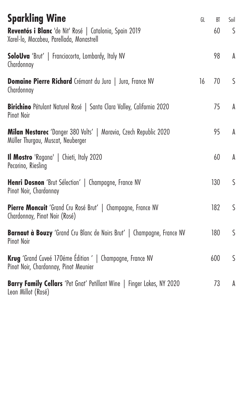<span id="page-5-0"></span>

| <b>Sparkling Wine</b>                                                                                 | GL | BT  | Soil |
|-------------------------------------------------------------------------------------------------------|----|-----|------|
| Reventós i Blanc 'de Nit' Rosé   Catalonia, Spain 2019<br>Xarel-lo, Macabeu, Parellada, Monastrell    |    | 60  | S    |
| SoloUva 'Brut'   Franciacorta, Lombardy, Italy NV<br>Chardonnay                                       |    | 98  | A    |
| Domaine Pierre Richard Crémant du Jura   Jura, France NV<br>Chardonnay                                | 16 | 70  | S    |
| Birichino Pétulant Naturel Rosé   Santa Clara Valley, California 2020<br>Pinot Noir                   |    | 75  | A    |
| Milan Nestarec 'Danger 380 Volts'   Moravia, Czech Republic 2020<br>Müller Thurgau, Muscat, Neuberger |    | 95  | A    |
| <b>Il Mostro</b> 'Ragana'   Chieti, Italy 2020<br>Pecorino, Riesling                                  |    | 60  | A    |
| <b>Henri Dosnon</b> 'Brut Sélection'   Champagne, France NV<br>Pinot Noir, Chardonnay                 |    | 130 | S    |
| <b>Pierre Moncuit</b> 'Grand Cru Rosé Brut'   Champagne, France NV<br>Chardonnay, Pinot Noir (Rosé)   |    | 182 | S    |
| <b>Barnaut à Bouzy</b> 'Grand Cru Blanc de Noirs Brut'   Champagne, France NV<br><b>Pinot Noir</b>    |    | 180 | S    |
| Krug 'Grand Cuveé 170éme Édition '   Champagne, France NV<br>Pinot Noir, Chardonnay, Pinot Meunier    |    | 600 | S    |
| Barry Family Cellars 'Pet Gnat' Petillant Wine   Finger Lakes, NY 2020<br>Leon Millot (Rosé)          |    | 73  | A    |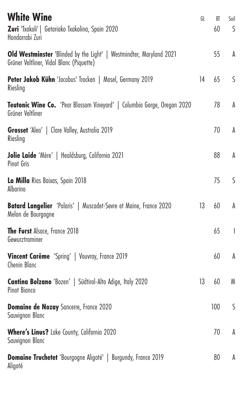<span id="page-6-0"></span>

| <b>White Wine</b><br>Zuri 'Txakoli'   Getariako Txakolina, Spain 2020<br>Hondarrabi Zuri                        | GL | BT<br>60 | Soil<br>S    |
|-----------------------------------------------------------------------------------------------------------------|----|----------|--------------|
| Old Westminster 'Blinded by the Light'   Westmindter, Maryland 2021<br>Grüner Veltliner, Vidal Blanc (Piquette) |    | 55       | A            |
| Peter Jakob Kühn 'Jacobus' Trocken   Mosel, Germany 2019<br>Riesling                                            | 14 | 65       | S            |
| Teutonic Wine Co. 'Pear Blossom Vineyard'   Columbia Gorge, Oregon 2020<br>Grüner Veltliner                     |    | 78       | A            |
| Grosset 'Alea'   Clare Valley, Australia 2019<br>Riesling                                                       |    | 70       | A            |
| Jolie Laide 'Mère'   Healdsburg, California 2021<br>Pinot Gris                                                  |    | 88       | A            |
| La Milla Rias Baixas, Spain 2018<br>Albarino                                                                    |    | 75       | S            |
| <b>Batard Langelier</b> 'Polaris'   Muscadet-Sevre et Maine, France 2020<br>Melon de Bourgogne                  | 13 | 60       | A            |
| The Furst Alsace, France 2018<br>Gewurztraminer                                                                 |    | 65       | $\mathbf{I}$ |
| <b>Vincent Carême</b> 'Spring'   Vouvray, France 2019<br>Chenin Blanc                                           |    | 60       | A            |
| Cantina Bolzano 'Bozen'   Südtirol-Alto Adige, Italy 2020<br>Pinot Bianco                                       | 13 | 60       | M            |
| <b>Domaine de Nozay</b> Sancerre, France 2020<br>Sauvignon Blanc                                                |    | 100      | S            |
| Where's Linus? Lake County, California 2020<br>Sauvignon Blanc                                                  |    | 70       | A            |
| <b>Domaine Truchetet</b> 'Bourgogne Aligoté'   Burgundy, France 2019<br>Aligoté                                 |    | 80       | A            |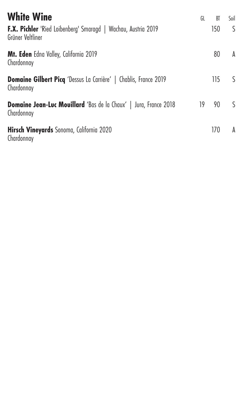| <b>White Wine</b>                                                                     | GL | BT  | Soil |
|---------------------------------------------------------------------------------------|----|-----|------|
| F.X. Pichler 'Ried Loibenberg' Smaragd   Wachau, Austria 2019<br>Grüner Veltliner     |    | 150 | S    |
| Mt. Eden Edna Valley, California 2019<br>Chardonnay                                   |    | 80  | A    |
| <b>Domaine Gilbert Picq</b> 'Dessus La Carrière'   Chablis, France 2019<br>Chardonnay |    | 115 | S.   |
| <b>Domaine Jean-Luc Mouillard</b> 'Bas de la Chaux'   Jura, France 2018<br>Chardonnay | 19 | 90  | S    |
| Hirsch Vineyards Sonoma, California 2020<br>Chardonnay                                |    | 170 | A    |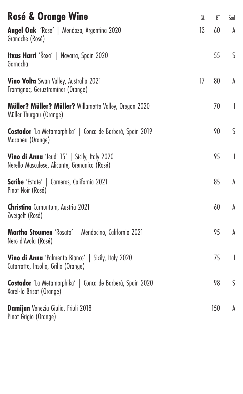| <b>Rosé &amp; Orange Wine</b>                                                                      | GL | BT  | Soil                     |
|----------------------------------------------------------------------------------------------------|----|-----|--------------------------|
| Angel Oak 'Rose'   Mendoza, Argentina 2020<br>Granache (Rosé)                                      | 13 | 60  | A                        |
| <b>Itxas Harri</b> 'Ŕoxa'   Navarra, Spain 2020<br>Garnacha                                        |    | 55  | S                        |
| <b>Vino Volta</b> Swan Valley, Australia 2021<br>Frontignac, Geruztraminer (Orange)                | 17 | 80  | A                        |
| <b>Müller? Müller? Müller?</b> Willamette Valley, Oregon 2020<br>Müller Thurgau (Orange)           |    | 70  | $\overline{\phantom{a}}$ |
| Costador 'La Metamorphika'   Conca de Barberà, Spain 2019<br>Macabeu (Orange)                      |    | 90  | S                        |
| Vino di Anna 'Jeudi 15'   Sicily, Italy 2020<br>Nerello Mascalese, Alicante, Grenanico (Rosé)      |    | 95  | $\overline{1}$           |
| <b>Scribe</b> 'Estate'   Carneros, California 2021<br>Pinot Noir (Rosé)                            |    | 85  | A                        |
| <b>Christina</b> Carnuntum, Austria 2021<br>Zweigelt (Rosé)                                        |    | 60  | A                        |
| <b>Martha Stoumen</b> 'Rosato'   Mendocino, California 2021<br>Nero d'Avola (Rosé)                 |    | 95  | A                        |
| <b>Vino di Anna</b> 'Palmento Bianco'   Sicily, Italy 2020<br>Catarratto, Insolia, Grillo (Orange) |    | 75  | $\overline{\phantom{a}}$ |
| Costador 'La Metamorphika'   Conca de Barberà, Spain 2020<br>Xarel-lo Brisat (Orange)              |    | 98  | S                        |
| Damijan Venezia Giulia, Friuli 2018<br>Pinot Grigio (Orange)                                       |    | 150 | A                        |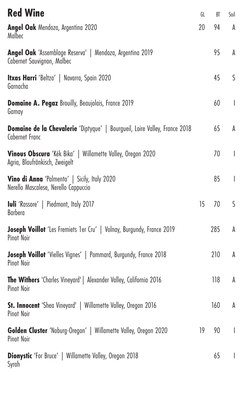<span id="page-9-0"></span>

| <b>Red Wine</b>                                                                                     | GL | BT  | Soil                     |
|-----------------------------------------------------------------------------------------------------|----|-----|--------------------------|
| Angel Oak Mendoza, Argentina 2020<br>Malbec                                                         | 20 | 94  | A                        |
| Angel Oak 'Assemblage Reserva'   Mendoza, Argentina 2019<br>Cabernet Sauvignon, Malbec              |    | 95  | A                        |
| Itxas Harri 'Beltza'   Navarra, Spain 2020<br>Garnacha                                              |    | 45  | S                        |
| <b>Domaine A. Pegaz</b> Brouilly, Beaujolais, France 2019<br>Gamay                                  |    | 60  | $\overline{1}$           |
| <b>Domaine de la Chevalerie</b> 'Diptyque'   Bourgueil, Loire Valley, France 2018<br>Cabernet Franc |    | 65  | A                        |
| Vinous Obscura 'Kék Bika'   Willamette Valley, Oregon 2020<br>Agria, Blaufränkisch, Zweigelt        |    | 70  | $\overline{\phantom{a}}$ |
| Vino di Anna 'Palmento'   Sicily, Italy 2020<br>Nerello Mascalese, Nerello Cappuccio                |    | 85  | $\overline{1}$           |
| <b>Iuli</b> 'Rossore'   Piedmont, Italy 2017<br>Barbera                                             | 15 | 70  | S                        |
| Joseph Voillot 'Les Fremiets 1 er Cru'   Volnay, Burgundy, France 2019<br>Pinot Noir                |    | 285 | A                        |
| Joseph Voillot 'Vielles Vignes'   Pommard, Burgundy, France 2018<br>Pinot Noir                      |    | 210 | A                        |
| The Withers 'Charles Vineyard'   Alexander Valley, California 2016<br>Pinot Noir                    |    | 118 | A                        |
| St. Innocent 'Shea Vineyard'   Willamette Valley, Oregon 2016<br>Pinot Noir                         |    | 160 | A                        |
| Golden Cluster 'Noburg-Oregon'   Willamette Valley, Oregon 2020<br>Pinot Noir                       | 19 | 90  | $\overline{1}$           |
| <b>Dionystic</b> 'For Bruce'   Willamette Valley, Oregon 2018<br>Syrah                              |    | 65  | $\overline{\phantom{a}}$ |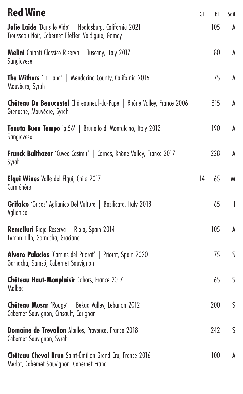| <b>Red Wine</b>                                                                                                | GL | BT  | Soil           |
|----------------------------------------------------------------------------------------------------------------|----|-----|----------------|
| Jolie Laide 'Dans le Vide'   Healdsburg, California 2021<br>Trousseau Noir, Cabernet Pfeffer, Valdiguié, Gamay |    | 105 | A              |
| <b>Melini</b> Chianti Classico Riserva   Tuscany, Italy 2017<br>Sangiovese                                     |    | 80  | A              |
| The Withers 'In Hand'   Mendocino County, California 2016<br>Mouvèdre, Syrah                                   |    | 75  | A              |
| <b>Château De Beaucastel</b> Châteauneuf-du-Pape   Rhône Valley, France 2006<br>Grenache, Mouvèdre, Syrah      |    | 315 | A              |
| <b>Tenuta Buon Tempo</b> 'p.56'   Brunello di Montalcino, Italy 2013<br>Sangiovese                             |    | 190 | A              |
| Franck Balthazar 'Cuvee Casimir'   Cornas, Rhône Valley, France 2017<br>Syrah                                  |    | 228 | A              |
| Elqui Wines Valle del Elqui, Chile 2017<br>Carménère                                                           | 14 | 65  | M              |
| Grifalco 'Gricos' Aglianico Del Vulture   Basilicata, Italy 2018<br>Aglianico                                  |    | 65  | $\overline{1}$ |
| Remelluri Rioja Reserva   Rioja, Spain 2014<br>Tempranillo, Garnacha, Graciano                                 |    | 105 | A              |
| <b>Alvaro Palacios</b> 'Camins del Priorat'   Priorat, Spain 2020<br>Garnacha, Samsó, Cabernet Sauvignon       |    | 75  | S              |
| Château Haut-Monplaisir Cahors, France 2017<br>Malbec                                                          |    | 65  | S              |
| Château Musar 'Rouge'   Bekaa Valley, Lebanon 2012<br>Cabernet Sauvignon, Cinsault, Carignan                   |    | 200 | S              |
| Domaine de Trevallon Alpilles, Provence, France 2018<br>Cabernet Sauvignon, Syrah                              |    | 242 | S              |
| Château Cheval Brun Saint-Émilion Grand Cru, France 2016<br>Merlot, Cabernet Sauvignon, Cabernet Franc         |    | 100 | A              |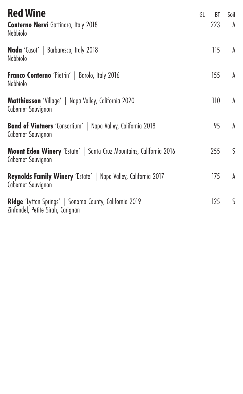| <b>Red Wine</b><br><b>Conterno Nervi</b> Gattinara, Italy 2018<br><b>Nebbiolo</b>                   | GL | BT<br>223 | Soil<br>A |
|-----------------------------------------------------------------------------------------------------|----|-----------|-----------|
| Nada 'Casot'   Barbaresco, Italy 2018<br>Nebbiolo                                                   |    | 115       | A         |
| Franco Conterno 'Pietrin'   Barolo, Italy 2016<br>Nebbiolo                                          |    | 155       | A         |
| <b>Matthiasson</b> 'Village'   Napa Valley, California 2020<br>Cabernet Sauvignon                   |    | 110       | A         |
| Band of Vintners 'Consortium'   Napa Valley, California 2018<br>Cabernet Sauvignon                  |    | 95        | A         |
| <b>Mount Eden Winery</b> 'Estate'   Santa Cruz Mountains, California 2016<br>Cabernet Sauvignon     |    | 255       | S         |
| Reynolds Family Winery 'Estate'   Napa Valley, California 2017<br>Cabernet Sauvignon                |    | 175       | A         |
| <b>Ridge</b> 'Lytton Springs'   Sonoma County, California 2019<br>Zinfandel, Petite Sirah, Carignan |    | 125       | S         |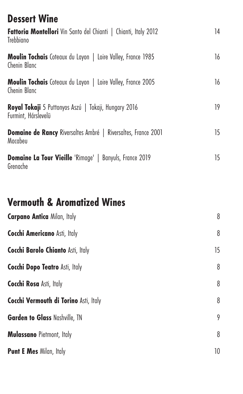<span id="page-12-0"></span>

| <b>Dessert Wine</b><br>Fattoria Montellori Vin Santo del Chianti   Chianti, Italy 2012 | 14 |
|----------------------------------------------------------------------------------------|----|
| <b>Trebbiano</b>                                                                       |    |
| Moulin Tochais Coteaux du Layon   Loire Valley, France 1985<br>Chenin Blanc            | 16 |
| <b>Moulin Tochais</b> Coteaux du Layon   Loire Valley, France 2005<br>Chenin Blanc     | 16 |
| Royal Tokaji 5 Puttonyos Aszú   Tokaji, Hungary 2016<br>Furmint, Hárslevelü            | 19 |
| Domaine de Rancy Riversaltes Ambré   Riversaltes, France 2001<br>Macabeu               | 15 |
| <b>Domaine La Tour Vieille</b> 'Rimage'   Banyuls, France 2019<br>Grenache             | 15 |

# <span id="page-12-1"></span>**Vermouth & Aromatized Wines**

| <b>Carpano Antica Milan, Italy</b>       | 8  |
|------------------------------------------|----|
| <b>Cocchi Americano Asti, Italy</b>      | 8  |
| <b>Cocchi Barolo Chianto Asti, Italy</b> | 15 |
| <b>Cocchi Dopo Teatro Asti, Italy</b>    | 8  |
| <b>Cocchi Rosa Asti, Italy</b>           | 8  |
| Cocchi Vermouth di Torino Asti, Italy    | 8  |
| <b>Garden to Glass Nashville, TN</b>     | 9  |
| <b>Mulassano</b> Pietmont, Italy         | 8  |
| Punt E Mes Milan, Italy                  | 10 |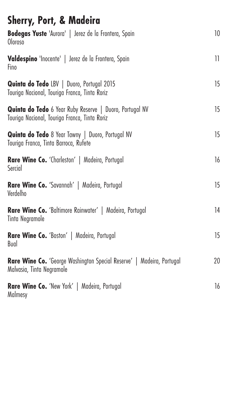<span id="page-13-0"></span>

| <b>Sherry, Port, &amp; Madeira</b>                                                                              |    |
|-----------------------------------------------------------------------------------------------------------------|----|
| Bodegas Yuste 'Aurora'   Jerez de la Frontera, Spain<br>Oloroso                                                 | 10 |
| Valdespino 'Inocente'   Jerez de la Frontera, Spain<br>Fino                                                     | 11 |
| Quinta do Tedo LBV   Duoro, Portugal 2015<br>Touriga Nacional, Touriga Franca, Tinta Roriz                      | 15 |
| <b>Quinta do Tedo</b> 6 Year Ruby Reserve   Duoro, Portugal NV<br>Touriga Nacional, Touriga Franca, Tinta Roriz | 15 |
| Quinta do Tedo 8 Year Tawny   Duoro, Portugal NV<br>Touriga Franca, Tinta Barroca, Rutete                       | 15 |
| <b>Rare Wine Co.</b> 'Charleston'   Madeira, Portugal<br>Sercial                                                | 16 |
| <b>Rare Wine Co.</b> 'Savannah'   Madeira, Portugal<br>Verdelho                                                 | 15 |
| <b>Rare Wine Co.</b> 'Baltimore Rainwater'   Madeira, Portugal<br>Tinta Negramole                               | 14 |
| <b>Rare Wine Co.</b> 'Boston'   Madeira, Portugal<br>Bual                                                       | 15 |
| <b>Rare Wine Co.</b> 'George Washington Special Reserve'   Madeira, Portugal<br>Malvasia, Tinta Negramole       | 20 |
| <b>Rare Wine Co.</b> 'New York'   Madeira, Portugal<br>Malmesy                                                  | 16 |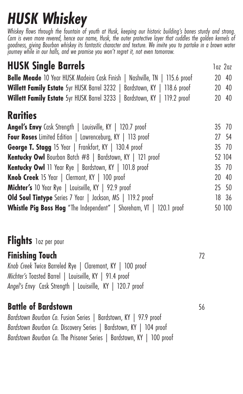# <span id="page-14-0"></span>*HUSK Whiskey*

*Whiskey flows through the fountain of youth at Husk, keeping our historic building's bones sturdy and strong. Corn is even more revered, hence our name, Husk, the outer protective layer that cuddles the golden kernels of goodness, giving Bourbon whiskey its fantastic character and texture. We invite you to partake in a brown water journey while in our halls, and we promise you won't regret it, not even tomorrow.*

<span id="page-14-1"></span>

| <b>HUSK Single Barrels</b>                                                 | loz 2oz |
|----------------------------------------------------------------------------|---------|
| Belle Meade 10 Year HUSK Madeira Cask Finish   Nashville, TN   115.6 proof | 20 40   |
| Willett Family Estate 5yr HUSK Barrel 3232   Bardstown, KY   118.6 proof   | 20 40   |
| Willett Family Estate 5yr HUSK Barrel 3233   Bardstown, KY   119.2 proof   | 20 40   |

#### <span id="page-14-2"></span>**Rarities**

| 35 70  |
|--------|
| 27 54  |
| 35 70  |
| 52 104 |
| 35 70  |
| 20 40  |
| 25 50  |
| 18 36  |
| 50 100 |
|        |

### <span id="page-14-3"></span>**Flights** 1oz per pour

#### **Finishing Touch** 72

*Knob Creek* Twice Barreled Rye | Claremont, KY | 100 proof *Michter's* Toasted Barrel | Louisville, KY | 91.4 proof *Angel's Envy* Cask Strength | Louisville, KY | 120.7 proof

#### **Battle of Bardstown** 56

*Bardstown Bourbon Co.* Fusion Series | Bardstown, KY | 97.9 proof *Bardstown Bourbon Co.* Discovery Series | Bardstown, KY | 104 proof *Bardstown Bourbon Co.* The Prisoner Series | Bardstown, KY | 100 proof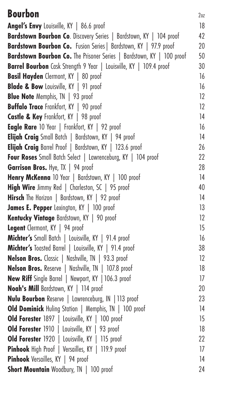<span id="page-15-0"></span>

| <b>Bourbon</b>                                                        | $2$ oz  |
|-----------------------------------------------------------------------|---------|
| Angel's Envy Louisville, KY   86.6 proof                              | 18      |
| Bardstown Bourbon Co. Discovery Series   Bardstown, KY   104 proof    | 42      |
| Bardstown Bourbon Co. Fusion Series   Bardstown, KY   97.9 proof      | 20      |
| Bardstown Bourbon Co. The Prisoner Series   Bardstown, KY   100 proof | 50      |
| Barrel Bourbon Cask Strength 9 Year   Louisville, KY   109.4 proof    | 30      |
| <b>Basil Hayden</b> Clermont, KY   80 proof                           | 16      |
| <b>Blade &amp; Bow</b> Louisville, KY   91 proof                      | 16      |
| <b>Blue Note</b> Memphis, TN   93 proof                               | 12      |
| <b>Buffalo Trace</b> Frankfort, KY   90 proof                         | 12      |
| Castle & Key Frankfort, KY   98 proof                                 | 14      |
| Eagle Rare 10 Year   Frankfort, KY   92 proof                         | 16      |
| Elijah Craig Small Batch   Bardstown, KY   94 proof                   | 14      |
| Elijah Craig Barrel Proof   Bardstown, KY   123.6 proof               | 26      |
| Four Roses Small Batch Select   Lawrenceburg, KY   104 proof          | 22      |
| <b>Garrison Bros.</b> Hye, TX   94 proof                              | 28      |
| Henry McKenna 10 Year   Bardstown, KY   100 proof                     | 14      |
| High Wire Jimmy Red   Charleston, SC   95 proof                       | 40      |
| <b>Hirsch</b> The Horizon   Bardstown, KY   92 proof                  | 14      |
| James E. Pepper Lexington, KY   100 proof                             | 13      |
| Kentucky Vintage Bardstown, KY   90 proof                             | $12 \,$ |
| Legent Clermont, KY   94 proof                                        | 15      |
| Michter's Small Batch   Louisville, KY   91.4 proof                   | 16      |
| Michter's Toasted Barrel   Louisville, KY   91.4 proof                | 38      |
| Nelson Bros. Classic   Nashville, TN   93.3 proof                     | $12 \,$ |
| Nelson Bros. Reserve   Nashville, TN   107.8 proof                    | 18      |
| New Riff Single Barrel   Newport, KY   106.3 proof                    | 17      |
| Noah's Mill Bardstown, KY   114 proof                                 | 20      |
| Nulu Bourbon Reserve   Lawrenceburg, IN   113 proof                   | 23      |
| Old Dominick Huling Station   Memphis, TN   100 proof                 | 14      |
| Old Forester 1897   Louisville, KY   100 proof                        | 15      |
| Old Forester 1910   Louisville, KY   93 proof                         | 18      |
| Old Forester 1920   Louisville, KY   115 proof                        | 22      |
| Pinhook High Proof   Versailles, KY   119.9 proof                     | 17      |
| Pinhook Versailles, KY   94 proof                                     | 14      |
| Short Mountain Woodbury, TN   100 proof                               | 24      |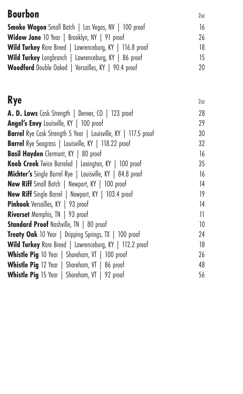<span id="page-16-0"></span>

| <b>Bourbon</b>                                                        | 2 <sub>0z</sub> |
|-----------------------------------------------------------------------|-----------------|
| <b>Smoke Wagon</b> Small Batch   Las Vegas, NV   100 proof            | 16              |
| Widow Jane 10 Year   Brooklyn, NY   91 proof                          | 26              |
| Wild Turkey Rare Breed   Lawrenceburg, KY   116.8 proof               | 18              |
| Wild Turkey Longbranch   Lawrenceburg, KY   86 proof                  | 15              |
| Woodford Double Oaked   Versailles, KY   90.4 proof                   | 20              |
| <b>Rye</b>                                                            | 2 <sub>0z</sub> |
| A. D. Laws Cask Strength   Denver, CO   123 proof                     | 28              |
| Angel's Envy Louisville, KY   100 proof                               | 29              |
| <b>Barrel</b> Rye Cask Strength 5 Year   Louisville, KY   117.5 proof | 30              |
| <b>Barrel</b> Rye Seagrass   Louisville, KY   118.22 proof            | 32              |
| <b>Basil Hayden</b> Clermont, KY   80 proof                           | 16              |
| Knob Creek Twice Barreled   Lexington, KY   100 proof                 | 35              |
| Michter's Single Barrel Rye   Louisville, KY   84.8 proof             | 16              |
| New Riff Small Batch   Newport, KY   100 proof                        | 14              |
| <b>New Riff</b> Single Barrel   Newport, KY   103.4 proof             | 19              |
| Pinhook Versailles, KY   93 proof                                     | 14              |
| Riverset Memphis, TN   93 proof                                       | 11              |
| Standard Proof Nashville, TN   80 proof                               | 10              |
| Treaty Oak 10 Year   Dripping Springs, TX   100 proof                 | 24              |
| Wild Turkey Rare Breed   Lawrenceburg, KY   112.2 proof               | 18              |
| <b>Whistle Pig</b> 10 Year   Shoreham, VT   100 proof                 | 26              |
| Whistle Pig 12 Year   Shoreham, VT   86 proof                         | 48              |
| <b>Whistle Pig</b> 15 Year   Shoreham, VT   92 proof                  | 56              |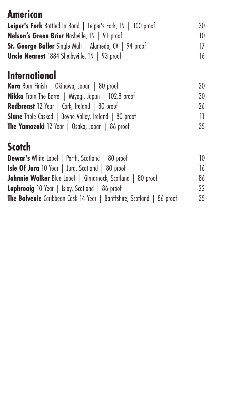### <span id="page-17-0"></span>**American**

| Leiper's Fork Bottled In Bond   Leiper's Fork, TN   100 proof | 30 |
|---------------------------------------------------------------|----|
| Nelson's Green Brier Nashville, TN   91 proof                 | 10 |
| St. George Baller Single Malt   Alameda, CA   94 proof        | 17 |
| <b>Uncle Nearest</b> 1884 Shelbyville, TN   93 proof          | 16 |

### <span id="page-17-1"></span>**International**

| Kura Rum Finish   Okinawa, Japan   80 proof                   | 20  |
|---------------------------------------------------------------|-----|
| <b>Nikka</b> From The Barrel   Miyagi, Japan   102.8 proof    | 30  |
| <b>Redbreast</b> 12 Year   Cork, Ireland   80 proof           | 26  |
| <b>Slane</b> Triple Casked   Boyne Valley, Ireland   80 proof | 11. |
| <b>The Yamazaki</b> 12 Year   Osaka, Japan   86 proof         | 35  |

# <span id="page-17-2"></span>**Scotch**

| <b>Dewar's</b> White Label   Perth, Scotland   80 proof                      | 10 |
|------------------------------------------------------------------------------|----|
| <b>Isle Of Jura</b> 10 Year   Jura, Scotland   80 proof                      | 16 |
| <b>Johnnie Walker</b> Blue Label   Kilmarnock, Scotland   80 proof           | 86 |
| Laphroaig 10 Year   Islay, Scotland   86 proof                               | 22 |
| <b>The Balvenie</b> Caribbean Cask 14 Year   Banffshire, Scotland   86 proof | 35 |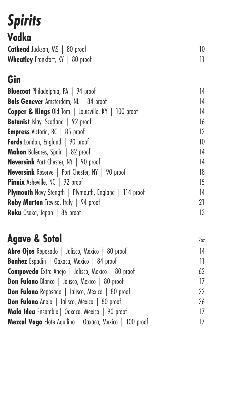# <span id="page-18-0"></span>*Spirits*

# <span id="page-18-1"></span>**Vodka**

| Cathead Jackson, MS   80 proof           |  |
|------------------------------------------|--|
| <b>Wheatley</b> Frankfort, KY   80 proof |  |

# <span id="page-18-2"></span>**Gin**

| <b>Bluecoat</b> Philadelphia, PA   94 proof                  | 14 |
|--------------------------------------------------------------|----|
| <b>Bols Genever</b> Amsterdam, NL   84 proof                 | 14 |
| Copper & Kings Old Tom   Louisville, KY   100 proof          | 14 |
| <b>Botanist</b> Islay, Scotland   92 proof                   | 16 |
| Empress Victoria, BC   85 proof                              | 12 |
| Fords London, England   90 proof                             | 10 |
| Mahon Baleares, Spain   82 proof                             | 14 |
| <b>Neversink</b> Port Chester, NY   90 proof                 | 14 |
| <b>Neversink</b> Reserve   Port Chester, NY   90 proof       | 18 |
| <b>Pinnix</b> Asheville, NC   92 proof                       | 15 |
| <b>Plymouth</b> Navy Stength   Plymouth, England   114 proof | 14 |
| Roby Marton Treviso, Italy   94 proof                        | 21 |
| Roku Osaka, Japan   86 proof                                 | 13 |
|                                                              |    |

## <span id="page-18-3"></span>**Agave & Sotol** 202

| Abre Ojos Reposado   Jalisco, Mexico   80 proof         | 14  |
|---------------------------------------------------------|-----|
| <b>Banhez</b> Espadin   Oaxaca, Mexico   84 proof       | 11. |
| Compoveda Extra Anejo   Jalisco, Mexico   80 proof      | 62  |
| <b>Don Fulano</b> Blanco   Jalisco, Mexico   80 proof   | 17  |
| <b>Don Fulano</b> Reposado   Jalisco, Mexico   80 proof | 22  |
| <b>Don Fulano</b> Anejo   Jalisco, Mexico   80 proof    | 26  |
| Mala Idea Ensamble   Oaxaca, Mexico   90 proof          | 17  |
| Mezcal Vago Elote Aquilino   Oaxaca, Mexico   100 proof | 17  |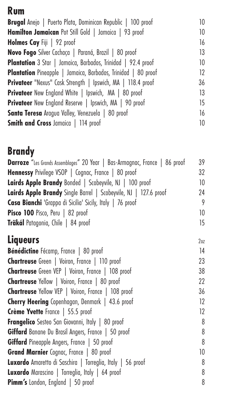### <span id="page-19-0"></span>**Rum**

| Brugal Anejo   Puerto Plata, Dominican Republic   100 proof          | 10 |
|----------------------------------------------------------------------|----|
| Hamilton Jamaican Pot Still Gold   Jamaica   93 proof                | 10 |
| Holmes Cay Fiji   92 proof                                           | 16 |
| Novo Fogo Silver Cachaça   Paraná, Brazil   80 proof                 | 13 |
| Plantation 3 Star   Jamaica, Barbados, Trinidad   92.4 proof         | 10 |
| <b>Plantation</b> Pineapple   Jamaica, Barbados, Trinidad   80 proof | 12 |
| Privateer "Nexus" Cask Strength   Ipswich, MA   118.4 proof          | 36 |
| <b>Privateer</b> New England White   Ipswich, MA   80 proof          | 13 |
| <b>Privateer</b> New England Reserve   Ipswich, MA   90 proof        | 15 |
| Santa Teresa Aragua Valley, Venezuela   80 proof                     | 16 |
| Smith and Cross Jamaica   114 proof                                  | 10 |
|                                                                      |    |

### <span id="page-19-1"></span>**Brandy**

| <b>Darroze</b> "Les Grands Assemblages" 20 Year   Bas-Armagnac, France   86 proof | 39  |
|-----------------------------------------------------------------------------------|-----|
| <b>Hennessy</b> Privilege VSOP   Cognac, France   80 proof                        | 32  |
| Lairds Apple Brandy Bonded   Scobeyvile, NJ   100 proof                           | 10  |
| Lairds Apple Brandy Single Barrel   Scobeyvile, NJ   127.6 proof                  | 24  |
| Casa Bianchi 'Grappa di Sicilia' Sicily, Italy   76 proof                         | 9   |
| Pisco 100 Pisco, Peru   82 proof                                                  | 10  |
| <b>Träkál</b> Patagonia, Chile   84 proof                                         | 15  |
| <b>Liqueurs</b>                                                                   | 207 |

<span id="page-19-2"></span>

| Bénédictine Fécamp, France   80 proof                      | 14 |
|------------------------------------------------------------|----|
| <b>Chartreuse</b> Green   Voiron, France   110 proof       | 23 |
| <b>Chartreuse</b> Green VEP   Voiron, France   108 proof   | 38 |
| <b>Chartreuse</b> Yellow   Voiron, France   80 proof       | 22 |
| <b>Chartreuse</b> Yellow VEP   Voiron, France   108 proof  | 36 |
| <b>Cherry Heering</b> Copenhagan, Denmark   43.6 proof     | 12 |
| Crème Yvette France   55.5 proof                           | 12 |
| <b>Frangelico</b> Sesteo San Giovanni, Italy   80 proof    | 8  |
| Giffard Banane Du Brasil Angers, France   50 proof         | 8  |
| Giffard Pineapple Angers, France   50 proof                | 8  |
| <b>Grand Marnier</b> Cognac, France   80 proof             | 10 |
| Luxardo Amaretto di Saschira   Torreglia, Italy   56 proof | 8  |
| <b>Luxardo</b> Marascino   Torreglia, Italy   64 proof     | 8  |
| <b>Pimm's</b> London, England   50 proof                   | 8  |